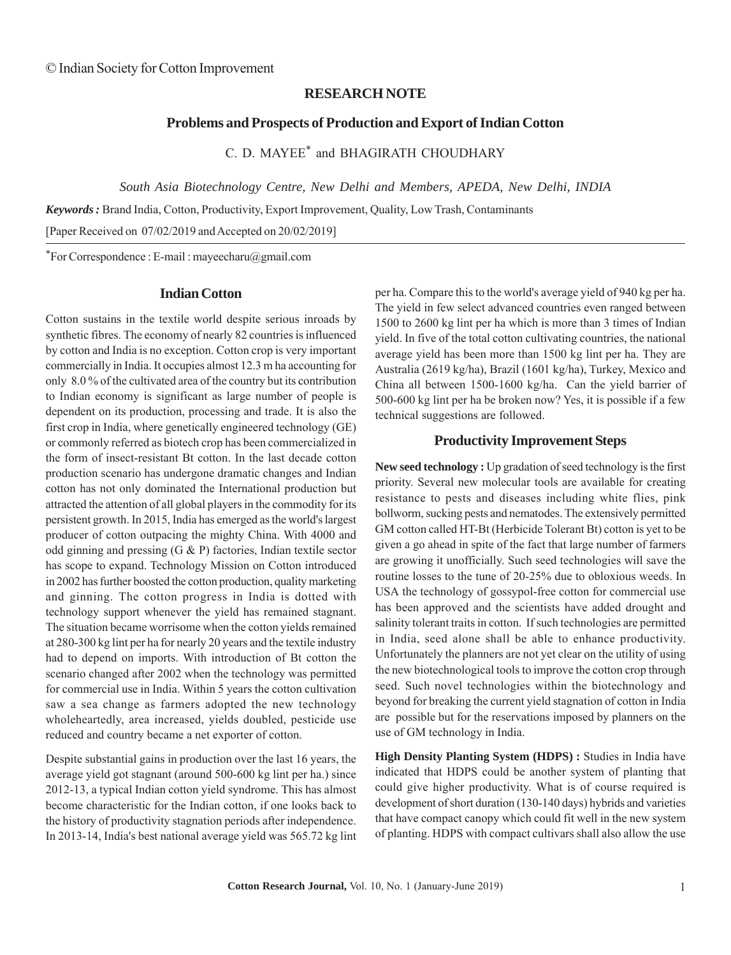# **RESEARCH NOTE**

### **Problems and Prospects of Production and Export of Indian Cotton**

C. D. MAYEE\* and BHAGIRATH CHOUDHARY

*South Asia Biotechnology Centre, New Delhi and Members, APEDA, New Delhi, INDIA*

*Keywords :* Brand India, Cotton, Productivity, Export Improvement, Quality, Low Trash, Contaminants

[Paper Received on 07/02/2019 and Accepted on 20/02/2019]

\*For Correspondence : E-mail : mayeecharu@gmail.com

#### **Indian Cotton**

Cotton sustains in the textile world despite serious inroads by synthetic fibres. The economy of nearly 82 countries is influenced by cotton and India is no exception. Cotton crop is very important commercially in India. It occupies almost 12.3 m ha accounting for only 8.0 % of the cultivated area of the country but its contribution to Indian economy is significant as large number of people is dependent on its production, processing and trade. It is also the first crop in India, where genetically engineered technology (GE) or commonly referred as biotech crop has been commercialized in the form of insect-resistant Bt cotton. In the last decade cotton production scenario has undergone dramatic changes and Indian cotton has not only dominated the International production but attracted the attention of all global players in the commodity for its persistent growth. In 2015, India has emerged as the world's largest producer of cotton outpacing the mighty China. With 4000 and odd ginning and pressing (G & P) factories, Indian textile sector has scope to expand. Technology Mission on Cotton introduced in 2002 has further boosted the cotton production, quality marketing and ginning. The cotton progress in India is dotted with technology support whenever the yield has remained stagnant. The situation became worrisome when the cotton yields remained at 280-300 kg lint per ha for nearly 20 years and the textile industry had to depend on imports. With introduction of Bt cotton the scenario changed after 2002 when the technology was permitted for commercial use in India. Within 5 years the cotton cultivation saw a sea change as farmers adopted the new technology wholeheartedly, area increased, yields doubled, pesticide use reduced and country became a net exporter of cotton.

Despite substantial gains in production over the last 16 years, the average yield got stagnant (around 500-600 kg lint per ha.) since 2012-13, a typical Indian cotton yield syndrome. This has almost become characteristic for the Indian cotton, if one looks back to the history of productivity stagnation periods after independence. In 2013-14, India's best national average yield was 565.72 kg lint per ha. Compare this to the world's average yield of 940 kg per ha. The yield in few select advanced countries even ranged between 1500 to 2600 kg lint per ha which is more than 3 times of Indian yield. In five of the total cotton cultivating countries, the national average yield has been more than 1500 kg lint per ha. They are Australia (2619 kg/ha), Brazil (1601 kg/ha), Turkey, Mexico and China all between 1500-1600 kg/ha. Can the yield barrier of 500-600 kg lint per ha be broken now? Yes, it is possible if a few technical suggestions are followed.

# **Productivity Improvement Steps**

**New seed technology :** Up gradation of seed technology is the first priority. Several new molecular tools are available for creating resistance to pests and diseases including white flies, pink bollworm, sucking pests and nematodes. The extensively permitted GM cotton called HT-Bt (Herbicide Tolerant Bt) cotton is yet to be given a go ahead in spite of the fact that large number of farmers are growing it unofficially. Such seed technologies will save the routine losses to the tune of 20-25% due to obloxious weeds. In USA the technology of gossypol-free cotton for commercial use has been approved and the scientists have added drought and salinity tolerant traits in cotton. If such technologies are permitted in India, seed alone shall be able to enhance productivity. Unfortunately the planners are not yet clear on the utility of using the new biotechnological tools to improve the cotton crop through seed. Such novel technologies within the biotechnology and beyond for breaking the current yield stagnation of cotton in India are possible but for the reservations imposed by planners on the use of GM technology in India.

**High Density Planting System (HDPS) :** Studies in India have indicated that HDPS could be another system of planting that could give higher productivity. What is of course required is development of short duration (130-140 days) hybrids and varieties that have compact canopy which could fit well in the new system of planting. HDPS with compact cultivars shall also allow the use